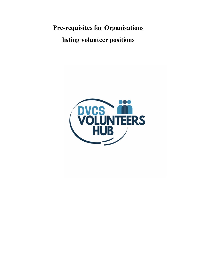Pre-requisites for Organisations listing volunteer positions

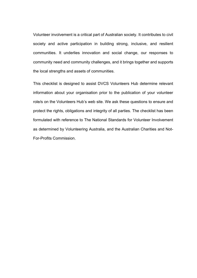Volunteer involvement is a critical part of Australian society. It contributes to civil society and active participation in building strong, inclusive, and resilient communities. It underlies innovation and social change, our responses to community need and community challenges, and it brings together and supports the local strengths and assets of communities.

This checklist is designed to assist DVCS Volunteers Hub determine relevant information about your organisation prior to the publication of your volunteer role/s on the Volunteers Hub's web site. We ask these questions to ensure and protect the rights, obligations and integrity of all parties. The checklist has been formulated with reference to The National Standards for Volunteer Involvement as determined by Volunteering Australia, and the Australian Charities and Not-For-Profits Commission.